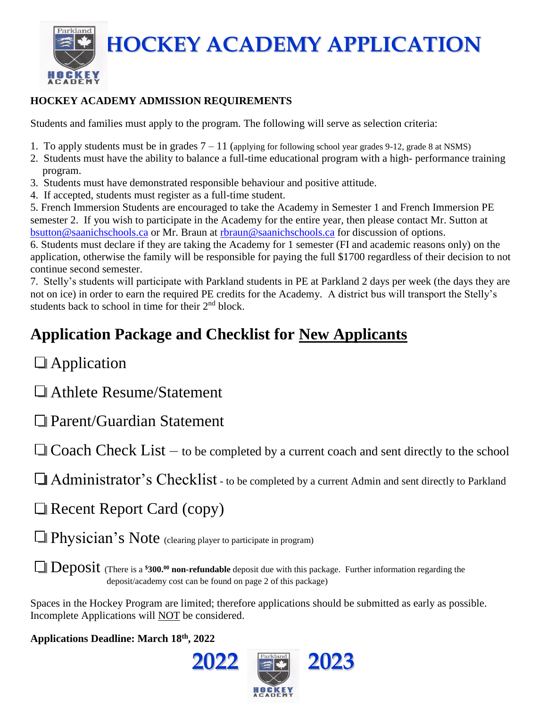Parkland **HOCKEY ACADEMY APPLICATION**

### **HOCKEY ACADEMY ADMISSION REQUIREMENTS**

Students and families must apply to the program. The following will serve as selection criteria:

- 1. To apply students must be in grades  $7 11$  (applying for following school year grades 9-12, grade 8 at NSMS)
- 2. Students must have the ability to balance a full-time educational program with a high- performance training program.
- 3. Students must have demonstrated responsible behaviour and positive attitude.
- 4. If accepted, students must register as a full-time student.

5. French Immersion Students are encouraged to take the Academy in Semester 1 and French Immersion PE semester 2. If you wish to participate in the Academy for the entire year, then please contact Mr. Sutton at [bsutton@saanichschools.ca](mailto:bsutton@saanichschools.ca) or Mr. Braun at [rbraun@saanichschools.ca](mailto:rbraun@saanichschools.ca) for discussion of options.

6. Students must declare if they are taking the Academy for 1 semester (FI and academic reasons only) on the application, otherwise the family will be responsible for paying the full \$1700 regardless of their decision to not continue second semester.

7. Stelly's students will participate with Parkland students in PE at Parkland 2 days per week (the days they are not on ice) in order to earn the required PE credits for the Academy. A district bus will transport the Stelly's students back to school in time for their 2<sup>nd</sup> block.

# **Application Package and Checklist for New Applicants**

**Application** 

**HOCKEY** 

Athlete Resume/Statement

Parent/Guardian Statement

 $\Box$  Coach Check List – to be completed by a current coach and sent directly to the school

Administrator's Checklist - to be completed by a current Admin and sent directly to Parkland

Recent Report Card (copy)

 $\Box$  Physician's Note (clearing player to participate in program)

**Deposit** (There is a **\$300.**<sup>00</sup> non-refundable deposit due with this package. Further information regarding the deposit/academy cost can be found on page 2 of this package)

Spaces in the Hockey Program are limited; therefore applications should be submitted as early as possible. Incomplete Applications will NOT be considered.

**Applications Deadline: March 18 th, 2022**

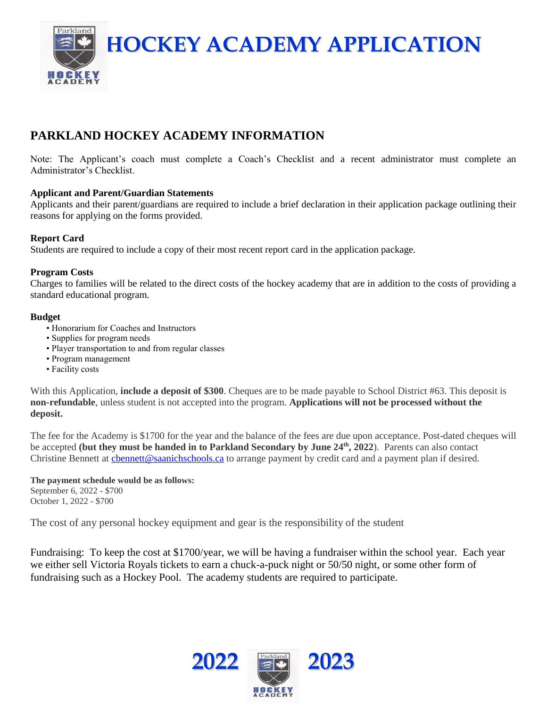**HOCKEY ACADEMY APPLICATION**

## **PARKLAND HOCKEY ACADEMY INFORMATION**

Note: The Applicant's coach must complete a Coach's Checklist and a recent administrator must complete an Administrator's Checklist.

#### **Applicant and Parent/Guardian Statements**

Applicants and their parent/guardians are required to include a brief declaration in their application package outlining their reasons for applying on the forms provided.

#### **Report Card**

Parkland

**HOCKE** 

Students are required to include a copy of their most recent report card in the application package.

#### **Program Costs**

Charges to families will be related to the direct costs of the hockey academy that are in addition to the costs of providing a standard educational program.

#### **Budget**

- Honorarium for Coaches and Instructors
- Supplies for program needs
- Player transportation to and from regular classes
- Program management
- Facility costs

With this Application, **include a deposit of \$300**. Cheques are to be made payable to School District #63. This deposit is **non-refundable**, unless student is not accepted into the program. **Applications will not be processed without the deposit.**

The fee for the Academy is \$1700 for the year and the balance of the fees are due upon acceptance. Post-dated cheques will be accepted (but they must be handed in to Parkland Secondary by June 24<sup>th</sup>, 2022). Parents can also contact Christine Bennett at [cbennett@saanichschools.ca](mailto:cbennett@saanichschools.ca) to arrange payment by credit card and a payment plan if desired.

**The payment schedule would be as follows:** September 6, 2022 - \$700 October 1, 2022 - \$700

The cost of any personal hockey equipment and gear is the responsibility of the student

Fundraising: To keep the cost at \$1700/year, we will be having a fundraiser within the school year. Each year we either sell Victoria Royals tickets to earn a chuck-a-puck night or 50/50 night, or some other form of fundraising such as a Hockey Pool. The academy students are required to participate.

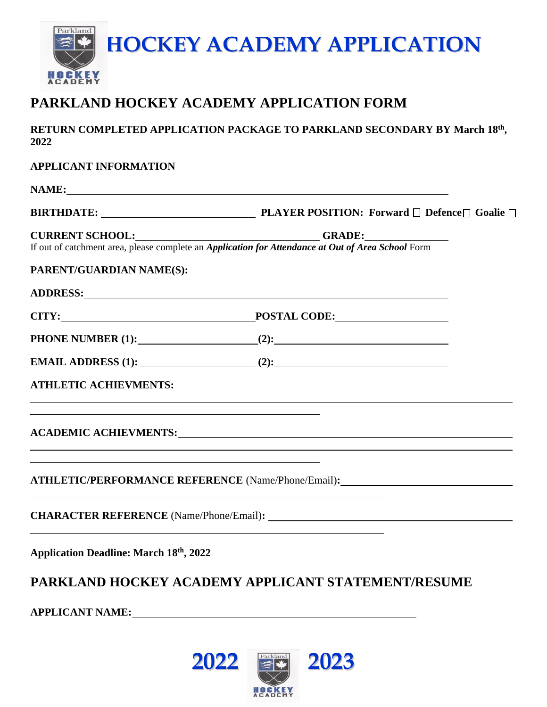

# **PARKLAND HOCKEY ACADEMY APPLICATION FORM**

RETURN COMPLETED APPLICATION PACKAGE TO PARKLAND SECONDARY BY March 18<sup>th</sup>, **2022**

| <b>APPLICANT INFORMATION</b>                                                                                           |                                                                                                                              |  |
|------------------------------------------------------------------------------------------------------------------------|------------------------------------------------------------------------------------------------------------------------------|--|
|                                                                                                                        | NAME:                                                                                                                        |  |
|                                                                                                                        |                                                                                                                              |  |
|                                                                                                                        | CURRENT SCHOOL:<br>If out of catchment area, please complete an <i>Application for Attendance at Out of Area School</i> Form |  |
|                                                                                                                        |                                                                                                                              |  |
|                                                                                                                        |                                                                                                                              |  |
|                                                                                                                        |                                                                                                                              |  |
|                                                                                                                        |                                                                                                                              |  |
|                                                                                                                        |                                                                                                                              |  |
|                                                                                                                        |                                                                                                                              |  |
|                                                                                                                        | <u> 1989 - Johann Harry Harry Harry Harry Harry Harry Harry Harry Harry Harry Harry Harry Harry Harry Harry Harry</u>        |  |
|                                                                                                                        |                                                                                                                              |  |
|                                                                                                                        |                                                                                                                              |  |
| <u> 1989 - Johann Stoff, deutscher Stoffen und der Stoffen und der Stoffen und der Stoffen und der Stoffen und der</u> | ATHLETIC/PERFORMANCE REFERENCE (Name/Phone/Email):______________________________                                             |  |
|                                                                                                                        | <u> 1989 - Jan Salaman Salaman (j. 1989)</u>                                                                                 |  |
| <b>Application Deadline: March 18th, 2022</b>                                                                          |                                                                                                                              |  |

## **PARKLAND HOCKEY ACADEMY APPLICANT STATEMENT/RESUME**

**APPLICANT NAME:**

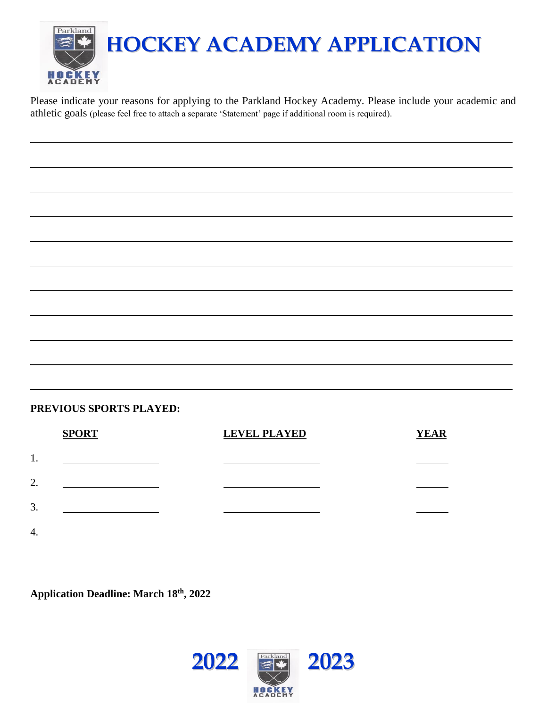

Please indicate your reasons for applying to the Parkland Hockey Academy. Please include your academic and athletic goals (please feel free to attach a separate 'Statement' page if additional room is required).

#### **PREVIOUS SPORTS PLAYED:**

|    | <b>SPORT</b> | <b>LEVEL PLAYED</b> | <b>YEAR</b> |
|----|--------------|---------------------|-------------|
| 1. |              |                     |             |
| 2. |              |                     |             |
| 3. |              |                     |             |
| 4. |              |                     |             |

**Application Deadline: March 18 th, 2022**

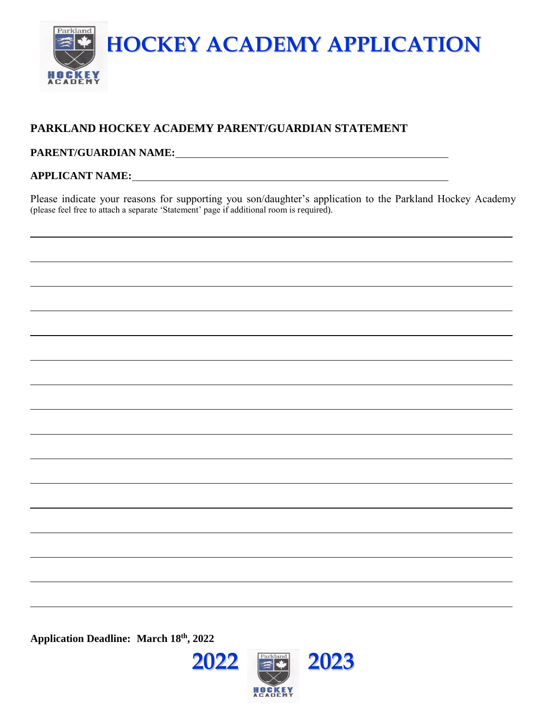

## **PARKLAND HOCKEY ACADEMY PARENT/GUARDIAN STATEMENT**

#### **PARENT/GUARDIAN NAME:**

#### **APPLICANT NAME:**

Please indicate your reasons for supporting you son/daughter's application to the Parkland Hockey Academy (please feel free to attach a separate 'Statement' page if additional room is required).

**Application Deadline: March 18 th, 2022**

**2022 2023**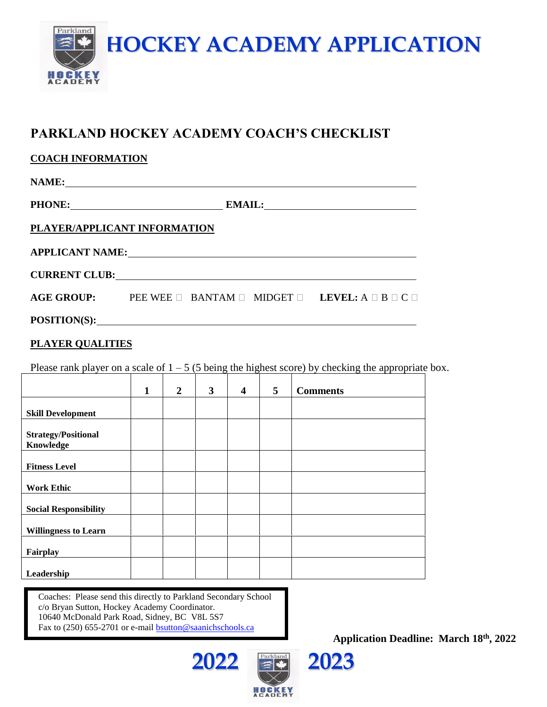

## **PARKLAND HOCKEY ACADEMY COACH'S CHECKLIST**

| <b>COACH INFORMATION</b> |  |
|--------------------------|--|
|                          |  |

**NAME:**

**PHONE: EMAIL:**

### **PLAYER/APPLICANT INFORMATION**

| <b>APPLICANT NAME:</b> |  |                                                                              |
|------------------------|--|------------------------------------------------------------------------------|
| <b>CURRENT CLUB:</b>   |  |                                                                              |
| <b>AGE GROUP:</b>      |  | PEE WEE $\Box$ BANTAM $\Box$ MIDGET $\Box$ LEVEL: A $\Box$ B $\Box$ C $\Box$ |

**POSITION(S):**

#### **PLAYER QUALITIES**

Please rank player on a scale of  $1 - 5$  (5 being the highest score) by checking the appropriate box.

|                                         | $\mathbf{1}$ | $\overline{2}$ | 3 | $\overline{\mathbf{4}}$ | 5 | <b>Comments</b> |
|-----------------------------------------|--------------|----------------|---|-------------------------|---|-----------------|
| <b>Skill Development</b>                |              |                |   |                         |   |                 |
| <b>Strategy/Positional</b><br>Knowledge |              |                |   |                         |   |                 |
| <b>Fitness Level</b>                    |              |                |   |                         |   |                 |
| <b>Work Ethic</b>                       |              |                |   |                         |   |                 |
| <b>Social Responsibility</b>            |              |                |   |                         |   |                 |
| <b>Willingness to Learn</b>             |              |                |   |                         |   |                 |
| Fairplay                                |              |                |   |                         |   |                 |
| Leadership                              |              |                |   |                         |   |                 |

Coaches: Please send this directly to Parkland Secondary School c/o Bryan Sutton, Hockey Academy Coordinator. 10640 McDonald Park Road, Sidney, BC V8L 5S7 Fax to (250) 655-2701 or e-mail **bsutton@saanichschool[s.ca](mailto:bsutton@sd63.bc.ca)** 





**Application Deadline: March 18 th, 2022**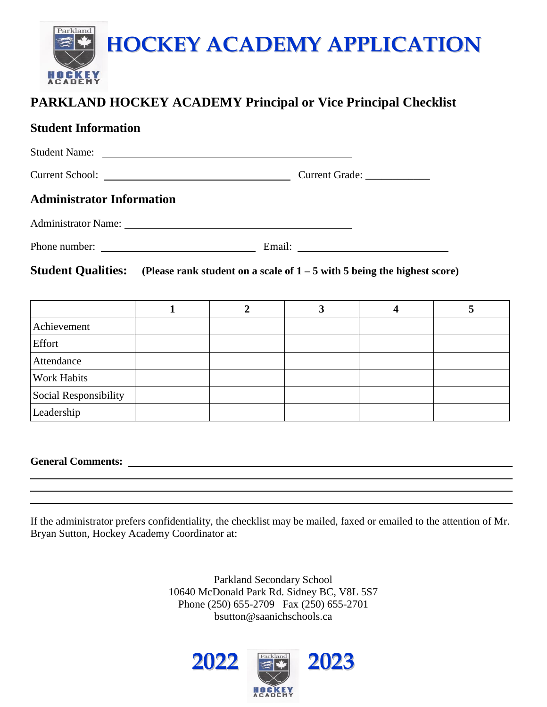

## **PARKLAND HOCKEY ACADEMY Principal or Vice Principal Checklist**

## **Student Information**

| Student Name:                                                                                        |              |                |                              |                         |   |  |
|------------------------------------------------------------------------------------------------------|--------------|----------------|------------------------------|-------------------------|---|--|
|                                                                                                      |              |                | Current Grade: _____________ |                         |   |  |
| <b>Administrator Information</b>                                                                     |              |                |                              |                         |   |  |
|                                                                                                      |              |                |                              |                         |   |  |
|                                                                                                      |              |                |                              |                         |   |  |
| <b>Student Qualities:</b> (Please rank student on a scale of $1 - 5$ with 5 being the highest score) |              |                |                              |                         |   |  |
|                                                                                                      |              |                |                              |                         |   |  |
|                                                                                                      | $\mathbf{1}$ | $\overline{2}$ | $\mathbf{3}$                 | $\overline{\mathbf{4}}$ | 5 |  |
| Achievement                                                                                          |              |                |                              |                         |   |  |
| Effort                                                                                               |              |                |                              |                         |   |  |
| Attendance                                                                                           |              |                |                              |                         |   |  |
| <b>Work Habits</b>                                                                                   |              |                |                              |                         |   |  |
| Social Responsibility                                                                                |              |                |                              |                         |   |  |
| Leadership                                                                                           |              |                |                              |                         |   |  |

**General Comments:** 

If the administrator prefers confidentiality, the checklist may be mailed, faxed or emailed to the attention of Mr. Bryan Sutton, Hockey Academy Coordinator at:

> Parkland Secondary School 10640 McDonald Park Rd. Sidney BC, V8L 5S7 Phone (250) 655-2709 Fax (250) 655-2701 bsutton@saanichschools.ca

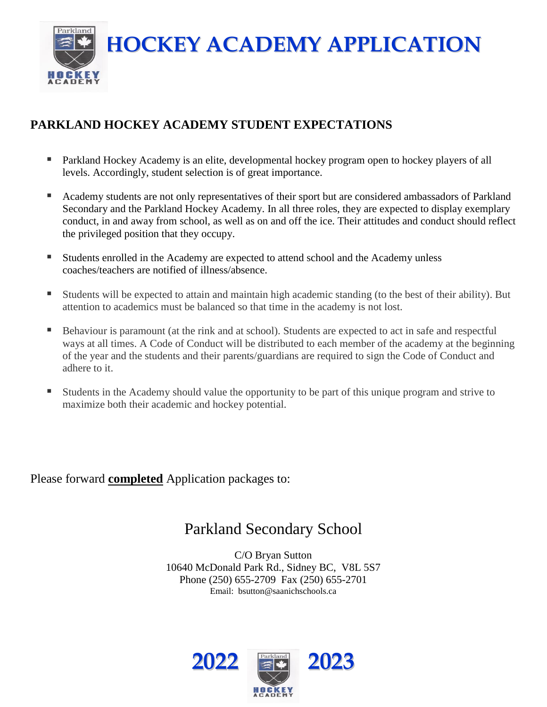**HOCKEY ACADEMY APPLICATION**



## **PARKLAND HOCKEY ACADEMY STUDENT EXPECTATIONS**

- Parkland Hockey Academy is an elite, developmental hockey program open to hockey players of all levels. Accordingly, student selection is of great importance.
- Academy students are not only representatives of their sport but are considered ambassadors of Parkland Secondary and the Parkland Hockey Academy. In all three roles, they are expected to display exemplary conduct, in and away from school, as well as on and off the ice. Their attitudes and conduct should reflect the privileged position that they occupy.
- Students enrolled in the Academy are expected to attend school and the Academy unless coaches/teachers are notified of illness/absence.
- Students will be expected to attain and maintain high academic standing (to the best of their ability). But attention to academics must be balanced so that time in the academy is not lost.
- Behaviour is paramount (at the rink and at school). Students are expected to act in safe and respectful ways at all times. A Code of Conduct will be distributed to each member of the academy at the beginning of the year and the students and their parents/guardians are required to sign the Code of Conduct and adhere to it.
- Students in the Academy should value the opportunity to be part of this unique program and strive to maximize both their academic and hockey potential.

Please forward **completed** Application packages to:

# Parkland Secondary School

C/O Bryan Sutton 10640 McDonald Park Rd., Sidney BC, V8L 5S7 Phone (250) 655-2709 Fax (250) 655-2701 Email: bsutton@saanichschools.ca